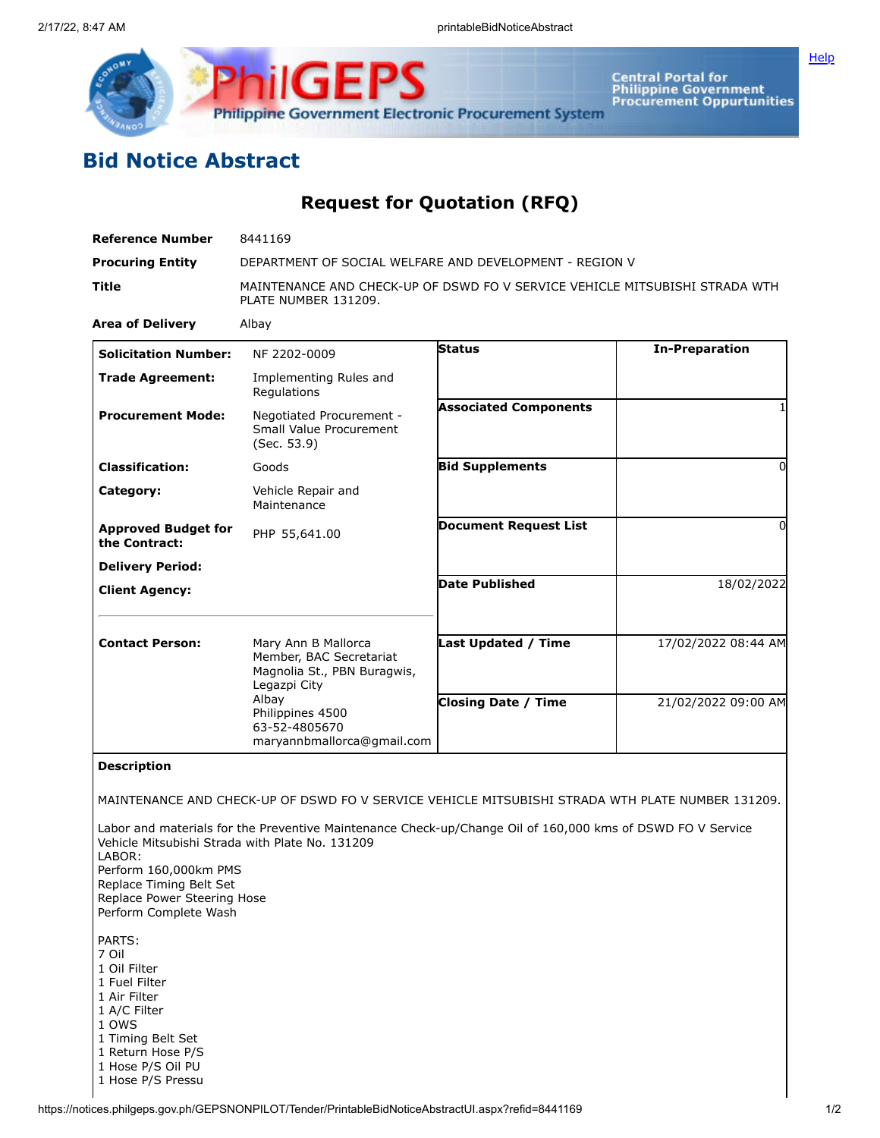



**Central Portal for<br>Philippine Government<br>Procurement Oppurtunities** 

## **Bid Notice Abstract**

**Request for Quotation (RFQ)**

| <b>Reference Number</b>                                                                                                                                       | 8441169                                                                                                                                                       |                              |                       |
|---------------------------------------------------------------------------------------------------------------------------------------------------------------|---------------------------------------------------------------------------------------------------------------------------------------------------------------|------------------------------|-----------------------|
| <b>Procuring Entity</b>                                                                                                                                       | DEPARTMENT OF SOCIAL WELFARE AND DEVELOPMENT - REGION V                                                                                                       |                              |                       |
| Title                                                                                                                                                         | MAINTENANCE AND CHECK-UP OF DSWD FO V SERVICE VEHICLE MITSUBISHI STRADA WTH<br>PLATE NUMBER 131209.                                                           |                              |                       |
| <b>Area of Delivery</b>                                                                                                                                       | Albay                                                                                                                                                         |                              |                       |
| <b>Solicitation Number:</b>                                                                                                                                   | NF 2202-0009                                                                                                                                                  | Status                       | <b>In-Preparation</b> |
| <b>Trade Agreement:</b>                                                                                                                                       | Implementing Rules and<br>Regulations                                                                                                                         |                              |                       |
| <b>Procurement Mode:</b>                                                                                                                                      | Negotiated Procurement -<br>Small Value Procurement<br>(Sec. 53.9)                                                                                            | <b>Associated Components</b> |                       |
| <b>Classification:</b>                                                                                                                                        | Goods                                                                                                                                                         | <b>Bid Supplements</b>       | 0                     |
| Category:                                                                                                                                                     | Vehicle Repair and<br>Maintenance                                                                                                                             |                              |                       |
| <b>Approved Budget for</b><br>the Contract:                                                                                                                   | PHP 55,641.00                                                                                                                                                 | <b>Document Request List</b> | O                     |
| <b>Delivery Period:</b>                                                                                                                                       |                                                                                                                                                               |                              |                       |
| <b>Client Agency:</b>                                                                                                                                         |                                                                                                                                                               | <b>Date Published</b>        | 18/02/2022            |
| <b>Contact Person:</b>                                                                                                                                        | Mary Ann B Mallorca<br>Member, BAC Secretariat<br>Magnolia St., PBN Buragwis,<br>Legazpi City                                                                 | <b>Last Updated / Time</b>   | 17/02/2022 08:44 AM   |
|                                                                                                                                                               | Albay<br>Philippines 4500<br>63-52-4805670<br>maryannbmallorca@gmail.com                                                                                      | <b>Closing Date / Time</b>   | 21/02/2022 09:00 AM   |
| <b>Description</b>                                                                                                                                            |                                                                                                                                                               |                              |                       |
|                                                                                                                                                               | MAINTENANCE AND CHECK-UP OF DSWD FO V SERVICE VEHICLE MITSUBISHI STRADA WTH PLATE NUMBER 131209.                                                              |                              |                       |
| LABOR:<br>Perform 160,000km PMS<br>Replace Timing Belt Set<br>Replace Power Steering Hose<br>Perform Complete Wash                                            | Labor and materials for the Preventive Maintenance Check-up/Change Oil of 160,000 kms of DSWD FO V Service<br>Vehicle Mitsubishi Strada with Plate No. 131209 |                              |                       |
| PARTS:<br>7 Oil<br>1 Oil Filter<br>1 Fuel Filter<br>1 Air Filter<br>1 A/C Filter<br>1 OWS<br>1 Timing Belt Set<br>1 Return Hose P/S<br>$1$ Hose $D/S$ Oil DII |                                                                                                                                                               |                              |                       |